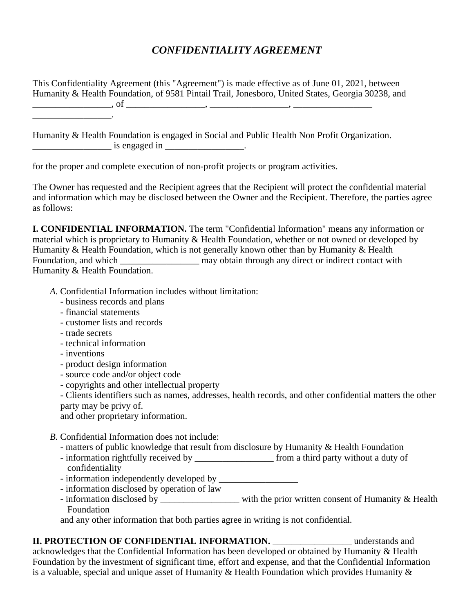## *CONFIDENTIALITY AGREEMENT*

This Confidentiality Agreement (this "Agreement") is made effective as of June 01, 2021, between Humanity & Health Foundation, of 9581 Pintail Trail, Jonesboro, United States, Georgia 30238, and \_\_\_\_\_\_\_\_\_\_\_\_\_\_\_\_\_, of \_\_\_\_\_\_\_\_\_\_\_\_\_\_\_\_\_, \_\_\_\_\_\_\_\_\_\_\_\_\_\_\_\_\_, \_\_\_\_\_\_\_\_\_\_\_\_\_\_\_\_\_ \_\_\_\_\_\_\_\_\_\_\_\_\_\_\_\_\_.

Humanity & Health Foundation is engaged in Social and Public Health Non Profit Organization.  $\frac{1}{2}$  is engaged in  $\frac{1}{2}$ .

for the proper and complete execution of non-profit projects or program activities.

The Owner has requested and the Recipient agrees that the Recipient will protect the confidential material and information which may be disclosed between the Owner and the Recipient. Therefore, the parties agree as follows:

**I. CONFIDENTIAL INFORMATION.** The term "Confidential Information" means any information or material which is proprietary to Humanity & Health Foundation, whether or not owned or developed by Humanity & Health Foundation, which is not generally known other than by Humanity & Health Foundation, and which \_\_\_\_\_\_\_\_\_\_\_\_\_\_\_\_\_\_ may obtain through any direct or indirect contact with Humanity & Health Foundation.

- *A.* Confidential Information includes without limitation:
	- business records and plans
	- financial statements
	- customer lists and records
	- trade secrets
	- technical information
	- inventions
	- product design information
	- source code and/or object code
	- copyrights and other intellectual property

- Clients identifiers such as names, addresses, health records, and other confidential matters the other party may be privy of.

and other proprietary information.

- *B.* Confidential Information does not include:
	- matters of public knowledge that result from disclosure by Humanity & Health Foundation
	- information rightfully received by \_\_\_\_\_\_\_\_\_\_\_\_\_\_\_\_\_\_\_\_\_\_ from a third party without a duty of confidentiality
	- information independently developed by \_\_\_\_\_\_\_\_\_\_\_\_\_\_\_\_\_
	- information disclosed by operation of law
	- information disclosed by \_\_\_\_\_\_\_\_\_\_\_\_\_\_\_\_\_\_\_\_ with the prior written consent of Humanity & Health Foundation

and any other information that both parties agree in writing is not confidential.

**II. PROTECTION OF CONFIDENTIAL INFORMATION.** \_\_\_\_\_\_\_\_\_\_\_\_\_\_\_ understands and acknowledges that the Confidential Information has been developed or obtained by Humanity & Health Foundation by the investment of significant time, effort and expense, and that the Confidential Information is a valuable, special and unique asset of Humanity  $\&$  Health Foundation which provides Humanity  $\&$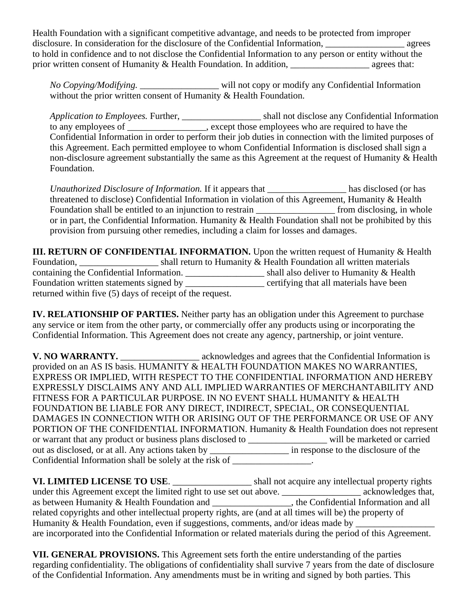Health Foundation with a significant competitive advantage, and needs to be protected from improper disclosure. In consideration for the disclosure of the Confidential Information, \_\_\_\_\_\_\_\_\_\_\_\_\_\_\_\_\_\_\_\_ agrees to hold in confidence and to not disclose the Confidential Information to any person or entity without the prior written consent of Humanity & Health Foundation. In addition, agrees that:

*No Copying/Modifying.* \_\_\_\_\_\_\_\_\_\_\_\_\_\_\_\_\_ will not copy or modify any Confidential Information without the prior written consent of Humanity & Health Foundation.

*Application to Employees.* Further, \_\_\_\_\_\_\_\_\_\_\_\_\_\_\_\_\_ shall not disclose any Confidential Information to any employees of \_\_\_\_\_\_\_\_\_\_\_\_\_\_, except those employees who are required to have the Confidential Information in order to perform their job duties in connection with the limited purposes of this Agreement. Each permitted employee to whom Confidential Information is disclosed shall sign a non-disclosure agreement substantially the same as this Agreement at the request of Humanity & Health Foundation.

*Unauthorized Disclosure of Information.* If it appears that \_\_\_\_\_\_\_\_\_\_\_\_\_\_\_\_\_ has disclosed (or has threatened to disclose) Confidential Information in violation of this Agreement, Humanity & Health Foundation shall be entitled to an injunction to restrain \_\_\_\_\_\_\_\_\_\_\_\_\_\_\_\_\_\_\_\_\_\_\_ from disclosing, in whole or in part, the Confidential Information. Humanity & Health Foundation shall not be prohibited by this provision from pursuing other remedies, including a claim for losses and damages.

**III. RETURN OF CONFIDENTIAL INFORMATION.** Upon the written request of Humanity & Health Foundation, \_\_\_\_\_\_\_\_\_\_\_\_\_\_\_\_\_\_\_\_\_\_\_ shall return to Humanity & Health Foundation all written materials containing the Confidential Information. \_\_\_\_\_\_\_\_\_\_\_\_\_\_\_\_\_\_\_\_\_\_\_\_\_\_\_\_\_\_\_\_shall also deliver to Humanity & Health Foundation written statements signed by \_\_\_\_\_\_\_\_\_\_\_\_\_\_\_\_\_\_\_ certifying that all materials have been returned within five (5) days of receipt of the request.

**IV. RELATIONSHIP OF PARTIES.** Neither party has an obligation under this Agreement to purchase any service or item from the other party, or commercially offer any products using or incorporating the Confidential Information. This Agreement does not create any agency, partnership, or joint venture.

V. NO WARRANTY. \_\_\_\_\_\_\_\_\_\_\_\_\_\_\_\_\_\_\_\_\_ acknowledges and agrees that the Confidential Information is provided on an AS IS basis. HUMANITY & HEALTH FOUNDATION MAKES NO WARRANTIES, EXPRESS OR IMPLIED, WITH RESPECT TO THE CONFIDENTIAL INFORMATION AND HEREBY EXPRESSLY DISCLAIMS ANY AND ALL IMPLIED WARRANTIES OF MERCHANTABILITY AND FITNESS FOR A PARTICULAR PURPOSE. IN NO EVENT SHALL HUMANITY & HEALTH FOUNDATION BE LIABLE FOR ANY DIRECT, INDIRECT, SPECIAL, OR CONSEQUENTIAL DAMAGES IN CONNECTION WITH OR ARISING OUT OF THE PERFORMANCE OR USE OF ANY PORTION OF THE CONFIDENTIAL INFORMATION. Humanity & Health Foundation does not represent or warrant that any product or business plans disclosed to will be marketed or carried out as disclosed, or at all. Any actions taken by \_\_\_\_\_\_\_\_\_\_\_\_\_\_\_\_\_ in response to the disclosure of the Confidential Information shall be solely at the risk of  $\overline{\phantom{a}}$ 

**VI. LIMITED LICENSE TO USE**. \_\_\_\_\_\_\_\_\_\_\_\_\_\_\_\_\_ shall not acquire any intellectual property rights under this Agreement except the limited right to use set out above. \_\_\_\_\_\_\_\_\_\_\_\_\_\_\_\_\_\_\_\_ acknowledges that, as between Humanity & Health Foundation and \_\_\_\_\_\_\_\_\_\_\_\_\_\_\_\_\_, the Confidential Information and all related copyrights and other intellectual property rights, are (and at all times will be) the property of Humanity & Health Foundation, even if suggestions, comments, and/or ideas made by \_\_\_\_\_\_\_\_\_\_\_\_\_\_\_\_\_\_\_\_\_\_\_\_\_\_\_\_ are incorporated into the Confidential Information or related materials during the period of this Agreement.

**VII. GENERAL PROVISIONS.** This Agreement sets forth the entire understanding of the parties regarding confidentiality. The obligations of confidentiality shall survive 7 years from the date of disclosure of the Confidential Information. Any amendments must be in writing and signed by both parties. This